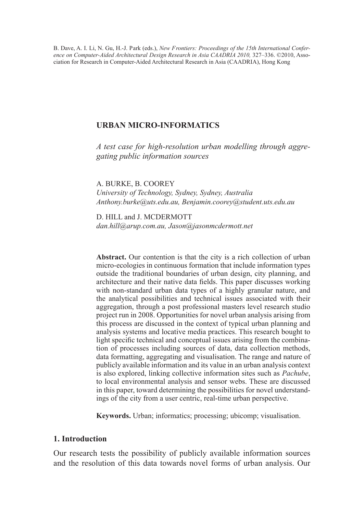B. Dave, A. I. Li, N. Gu, H.-J. Park (eds.), *New Frontiers: Proceedings of the 15th International Conference on Computer-Aided Architectural Design Research in Asia CAADRIA 2010,* 327–336. ©2010, Association for Research in Computer-Aided Architectural Research in Asia (CAADRIA), Hong Kong

# **URBAN MICRO-INFORMATICS**

*A test case for high-resolution urban modelling through aggregating public information sources*

A. BURKE, B. COOREY

*University of Technology, Sydney, Sydney, Australia Anthony.burke@uts.edu.au, Benjamin.coorey@student.uts.edu.au*

D. HILL and J. MCDERMOTT *dan.hill@arup.com.au, Jason@jasonmcdermott.net*

**Abstract.** Our contention is that the city is a rich collection of urban micro-ecologies in continuous formation that include information types outside the traditional boundaries of urban design, city planning, and architecture and their native data fields. This paper discusses working with non-standard urban data types of a highly granular nature, and the analytical possibilities and technical issues associated with their aggregation, through a post professional masters level research studio project run in 2008. Opportunities for novel urban analysis arising from this process are discussed in the context of typical urban planning and analysis systems and locative media practices. This research bought to light specific technical and conceptual issues arising from the combination of processes including sources of data, data collection methods, data formatting, aggregating and visualisation. The range and nature of publicly available information and its value in an urban analysis context is also explored, linking collective information sites such as *Pachube*, to local environmental analysis and sensor webs. These are discussed in this paper, toward determining the possibilities for novel understandings of the city from a user centric, real-time urban perspective.

**Keywords.** Urban; informatics; processing; ubicomp; visualisation.

## **1. Introduction**

Our research tests the possibility of publicly available information sources and the resolution of this data towards novel forms of urban analysis. Our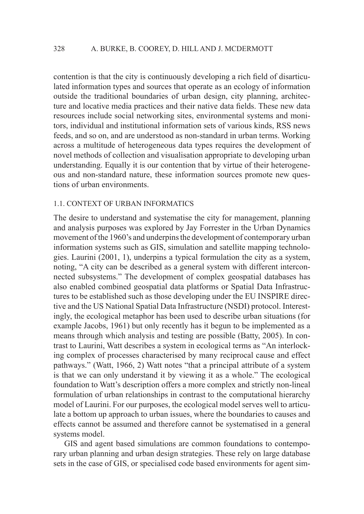contention is that the city is continuously developing a rich field of disarticulated information types and sources that operate as an ecology of information outside the traditional boundaries of urban design, city planning, architecture and locative media practices and their native data fields. These new data resources include social networking sites, environmental systems and monitors, individual and institutional information sets of various kinds, RSS news feeds, and so on, and are understood as non-standard in urban terms. Working across a multitude of heterogeneous data types requires the development of novel methods of collection and visualisation appropriate to developing urban understanding. Equally it is our contention that by virtue of their heterogeneous and non-standard nature, these information sources promote new questions of urban environments.

## 1.1. CONTEXT OF URBAN INFORMATICS

The desire to understand and systematise the city for management, planning and analysis purposes was explored by Jay Forrester in the Urban Dynamics movement of the 1960's and underpins the development of contemporary urban information systems such as GIS, simulation and satellite mapping technologies. Laurini (2001, 1), underpins a typical formulation the city as a system, noting, "A city can be described as a general system with different interconnected subsystems." The development of complex geospatial databases has also enabled combined geospatial data platforms or Spatial Data Infrastructures to be established such as those developing under the EU INSPIRE directive and the US National Spatial Data Infrastructure (NSDI) protocol. Interestingly, the ecological metaphor has been used to describe urban situations (for example Jacobs, 1961) but only recently has it begun to be implemented as a means through which analysis and testing are possible (Batty, 2005). In contrast to Laurini, Watt describes a system in ecological terms as "An interlocking complex of processes characterised by many reciprocal cause and effect pathways." (Watt, 1966, 2) Watt notes "that a principal attribute of a system is that we can only understand it by viewing it as a whole." The ecological foundation to Watt's description offers a more complex and strictly non-lineal formulation of urban relationships in contrast to the computational hierarchy model of Laurini. For our purposes, the ecological model serves well to articulate a bottom up approach to urban issues, where the boundaries to causes and effects cannot be assumed and therefore cannot be systematised in a general systems model.

GIS and agent based simulations are common foundations to contemporary urban planning and urban design strategies. These rely on large database sets in the case of GIS, or specialised code based environments for agent sim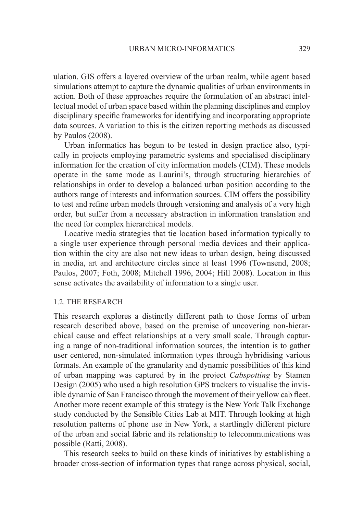ulation. GIS offers a layered overview of the urban realm, while agent based simulations attempt to capture the dynamic qualities of urban environments in action. Both of these approaches require the formulation of an abstract intellectual model of urban space based within the planning disciplines and employ disciplinary specific frameworks for identifying and incorporating appropriate data sources. A variation to this is the citizen reporting methods as discussed by Paulos (2008).

Urban informatics has begun to be tested in design practice also, typically in projects employing parametric systems and specialised disciplinary information for the creation of city information models (CIM). These models operate in the same mode as Laurini's, through structuring hierarchies of relationships in order to develop a balanced urban position according to the authors range of interests and information sources. CIM offers the possibility to test and refine urban models through versioning and analysis of a very high order, but suffer from a necessary abstraction in information translation and the need for complex hierarchical models.

Locative media strategies that tie location based information typically to a single user experience through personal media devices and their application within the city are also not new ideas to urban design, being discussed in media, art and architecture circles since at least 1996 (Townsend, 2008; Paulos, 2007; Foth, 2008; Mitchell 1996, 2004; Hill 2008). Location in this sense activates the availability of information to a single user.

#### 1.2. THE RESEARCH

This research explores a distinctly different path to those forms of urban research described above, based on the premise of uncovering non-hierarchical cause and effect relationships at a very small scale. Through capturing a range of non-traditional information sources, the intention is to gather user centered, non-simulated information types through hybridising various formats. An example of the granularity and dynamic possibilities of this kind of urban mapping was captured by in the project *Cabspotting* by Stamen Design (2005) who used a high resolution GPS trackers to visualise the invisible dynamic of San Francisco through the movement of their yellow cab fleet. Another more recent example of this strategy is the New York Talk Exchange study conducted by the Sensible Cities Lab at MIT. Through looking at high resolution patterns of phone use in New York, a startlingly different picture of the urban and social fabric and its relationship to telecommunications was possible (Ratti, 2008).

This research seeks to build on these kinds of initiatives by establishing a broader cross-section of information types that range across physical, social,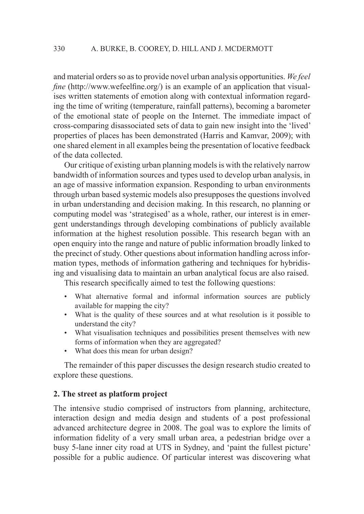and material orders so as to provide novel urban analysis opportunities. *We feel fine* (http://www.wefeelfine.org/) is an example of an application that visualises written statements of emotion along with contextual information regarding the time of writing (temperature, rainfall patterns), becoming a barometer of the emotional state of people on the Internet. The immediate impact of cross-comparing disassociated sets of data to gain new insight into the 'lived' properties of places has been demonstrated (Harris and Kamvar, 2009); with one shared element in all examples being the presentation of locative feedback of the data collected.

Our critique of existing urban planning models is with the relatively narrow bandwidth of information sources and types used to develop urban analysis, in an age of massive information expansion. Responding to urban environments through urban based systemic models also presupposes the questions involved in urban understanding and decision making. In this research, no planning or computing model was 'strategised' as a whole, rather, our interest is in emergent understandings through developing combinations of publicly available information at the highest resolution possible. This research began with an open enquiry into the range and nature of public information broadly linked to the precinct of study. Other questions about information handling across information types, methods of information gathering and techniques for hybridising and visualising data to maintain an urban analytical focus are also raised.

This research specifically aimed to test the following questions:

- What alternative formal and informal information sources are publicly available for mapping the city?
- What is the quality of these sources and at what resolution is it possible to understand the city?
- What visualisation techniques and possibilities present themselves with new forms of information when they are aggregated?
- What does this mean for urban design?

The remainder of this paper discusses the design research studio created to explore these questions.

## **2. The street as platform project**

The intensive studio comprised of instructors from planning, architecture, interaction design and media design and students of a post professional advanced architecture degree in 2008. The goal was to explore the limits of information fidelity of a very small urban area, a pedestrian bridge over a busy 5-lane inner city road at UTS in Sydney, and 'paint the fullest picture' possible for a public audience. Of particular interest was discovering what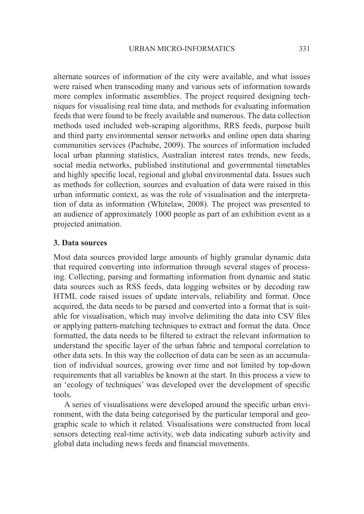alternate sources of information of the city were available, and what issues were raised when transcoding many and various sets of information towards more complex informatic assemblies. The project required designing techniques for visualising real time data, and methods for evaluating information feeds that were found to be freely available and numerous. The data collection methods used included web-scraping algorithms, RRS feeds, purpose built and third party environmental sensor networks and online open data sharing communities services (Pachube, 2009). The sources of information included local urban planning statistics, Australian interest rates trends, new feeds, social media networks, published institutional and governmental timetables and highly specific local, regional and global environmental data. Issues such as methods for collection, sources and evaluation of data were raised in this urban informatic context, as was the role of visualisation and the interpretation of data as information (Whitelaw, 2008). The project was presented to an audience of approximately 1000 people as part of an exhibition event as a projected animation.

## **3. Data sources**

Most data sources provided large amounts of highly granular dynamic data that required converting into information through several stages of processing. Collecting, parsing and formatting information from dynamic and static data sources such as RSS feeds, data logging websites or by decoding raw HTML code raised issues of update intervals, reliability and format. Once acquired, the data needs to be parsed and converted into a format that is suitable for visualisation, which may involve delimiting the data into CSV files or applying pattern-matching techniques to extract and format the data. Once formatted, the data needs to be filtered to extract the relevant information to understand the specific layer of the urban fabric and temporal correlation to other data sets. In this way the collection of data can be seen as an accumulation of individual sources, growing over time and not limited by top-down requirements that all variables be known at the start. In this process a view to an 'ecology of techniques' was developed over the development of specific tools.

A series of visualisations were developed around the specific urban environment, with the data being categorised by the particular temporal and geographic scale to which it related. Visualisations were constructed from local sensors detecting real-time activity, web data indicating suburb activity and global data including news feeds and financial movements.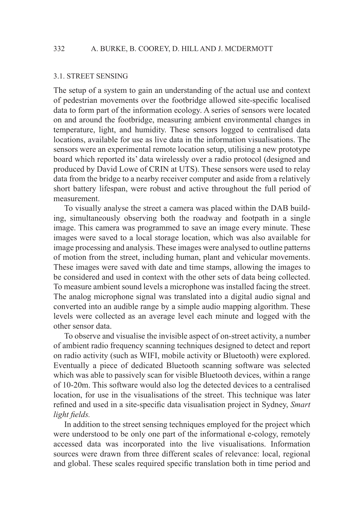#### 3.1. STREET SENSING

The setup of a system to gain an understanding of the actual use and context of pedestrian movements over the footbridge allowed site-specific localised data to form part of the information ecology. A series of sensors were located on and around the footbridge, measuring ambient environmental changes in temperature, light, and humidity. These sensors logged to centralised data locations, available for use as live data in the information visualisations. The sensors were an experimental remote location setup, utilising a new prototype board which reported its' data wirelessly over a radio protocol (designed and produced by David Lowe of CRIN at UTS). These sensors were used to relay data from the bridge to a nearby receiver computer and aside from a relatively short battery lifespan, were robust and active throughout the full period of measurement.

To visually analyse the street a camera was placed within the DAB building, simultaneously observing both the roadway and footpath in a single image. This camera was programmed to save an image every minute. These images were saved to a local storage location, which was also available for image processing and analysis. These images were analysed to outline patterns of motion from the street, including human, plant and vehicular movements. These images were saved with date and time stamps, allowing the images to be considered and used in context with the other sets of data being collected. To measure ambient sound levels a microphone was installed facing the street. The analog microphone signal was translated into a digital audio signal and converted into an audible range by a simple audio mapping algorithm. These levels were collected as an average level each minute and logged with the other sensor data.

To observe and visualise the invisible aspect of on-street activity, a number of ambient radio frequency scanning techniques designed to detect and report on radio activity (such as WIFI, mobile activity or Bluetooth) were explored. Eventually a piece of dedicated Bluetooth scanning software was selected which was able to passively scan for visible Bluetooth devices, within a range of 10-20m. This software would also log the detected devices to a centralised location, for use in the visualisations of the street. This technique was later refined and used in a site-specific data visualisation project in Sydney, *Smart light fields.*

In addition to the street sensing techniques employed for the project which were understood to be only one part of the informational e-cology, remotely accessed data was incorporated into the live visualisations. Information sources were drawn from three different scales of relevance: local, regional and global. These scales required specific translation both in time period and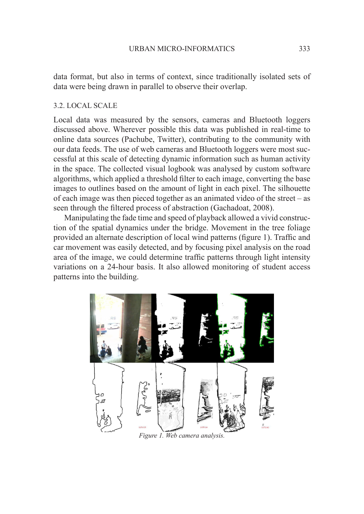data format, but also in terms of context, since traditionally isolated sets of data were being drawn in parallel to observe their overlap.

## 3.2. LOCAL SCALE

Local data was measured by the sensors, cameras and Bluetooth loggers discussed above. Wherever possible this data was published in real-time to online data sources (Pachube, Twitter), contributing to the community with our data feeds. The use of web cameras and Bluetooth loggers were most successful at this scale of detecting dynamic information such as human activity in the space. The collected visual logbook was analysed by custom software algorithms, which applied a threshold filter to each image, converting the base images to outlines based on the amount of light in each pixel. The silhouette of each image was then pieced together as an animated video of the street – as seen through the filtered process of abstraction (Gachadoat, 2008).

Manipulating the fade time and speed of playback allowed a vivid construction of the spatial dynamics under the bridge. Movement in the tree foliage provided an alternate description of local wind patterns (figure 1). Traffic and car movement was easily detected, and by focusing pixel analysis on the road area of the image, we could determine traffic patterns through light intensity variations on a 24-hour basis. It also allowed monitoring of student access patterns into the building.

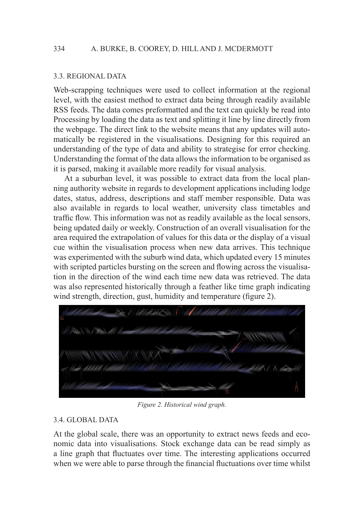#### 3.3. REGIONAL DATA

Web-scrapping techniques were used to collect information at the regional level, with the easiest method to extract data being through readily available RSS feeds. The data comes preformatted and the text can quickly be read into Processing by loading the data as text and splitting it line by line directly from the webpage. The direct link to the website means that any updates will automatically be registered in the visualisations. Designing for this required an understanding of the type of data and ability to strategise for error checking. Understanding the format of the data allows the information to be organised as it is parsed, making it available more readily for visual analysis.

At a suburban level, it was possible to extract data from the local planning authority website in regards to development applications including lodge dates, status, address, descriptions and staff member responsible. Data was also available in regards to local weather, university class timetables and traffic flow. This information was not as readily available as the local sensors, being updated daily or weekly. Construction of an overall visualisation for the area required the extrapolation of values for this data or the display of a visual cue within the visualisation process when new data arrives. This technique was experimented with the suburb wind data, which updated every 15 minutes with scripted particles bursting on the screen and flowing across the visualisation in the direction of the wind each time new data was retrieved. The data was also represented historically through a feather like time graph indicating wind strength, direction, gust, humidity and temperature (figure 2).



*Figure 2. Historical wind graph.*

#### 3.4. GLOBAL DATA

At the global scale, there was an opportunity to extract news feeds and economic data into visualisations. Stock exchange data can be read simply as a line graph that fluctuates over time. The interesting applications occurred when we were able to parse through the financial fluctuations over time whilst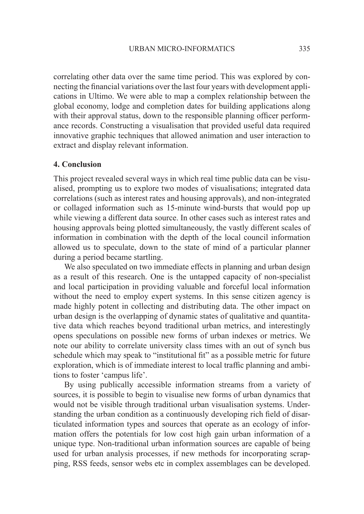correlating other data over the same time period. This was explored by connecting the financial variations over the last four years with development applications in Ultimo. We were able to map a complex relationship between the global economy, lodge and completion dates for building applications along with their approval status, down to the responsible planning officer performance records. Constructing a visualisation that provided useful data required innovative graphic techniques that allowed animation and user interaction to extract and display relevant information.

#### **4. Conclusion**

This project revealed several ways in which real time public data can be visualised, prompting us to explore two modes of visualisations; integrated data correlations (such as interest rates and housing approvals), and non-integrated or collaged information such as 15-minute wind-bursts that would pop up while viewing a different data source. In other cases such as interest rates and housing approvals being plotted simultaneously, the vastly different scales of information in combination with the depth of the local council information allowed us to speculate, down to the state of mind of a particular planner during a period became startling.

We also speculated on two immediate effects in planning and urban design as a result of this research. One is the untapped capacity of non-specialist and local participation in providing valuable and forceful local information without the need to employ expert systems. In this sense citizen agency is made highly potent in collecting and distributing data. The other impact on urban design is the overlapping of dynamic states of qualitative and quantitative data which reaches beyond traditional urban metrics, and interestingly opens speculations on possible new forms of urban indexes or metrics. We note our ability to correlate university class times with an out of synch bus schedule which may speak to "institutional fit" as a possible metric for future exploration, which is of immediate interest to local traffic planning and ambitions to foster 'campus life'.

By using publically accessible information streams from a variety of sources, it is possible to begin to visualise new forms of urban dynamics that would not be visible through traditional urban visualisation systems. Understanding the urban condition as a continuously developing rich field of disarticulated information types and sources that operate as an ecology of information offers the potentials for low cost high gain urban information of a unique type. Non-traditional urban information sources are capable of being used for urban analysis processes, if new methods for incorporating scrapping, RSS feeds, sensor webs etc in complex assemblages can be developed.